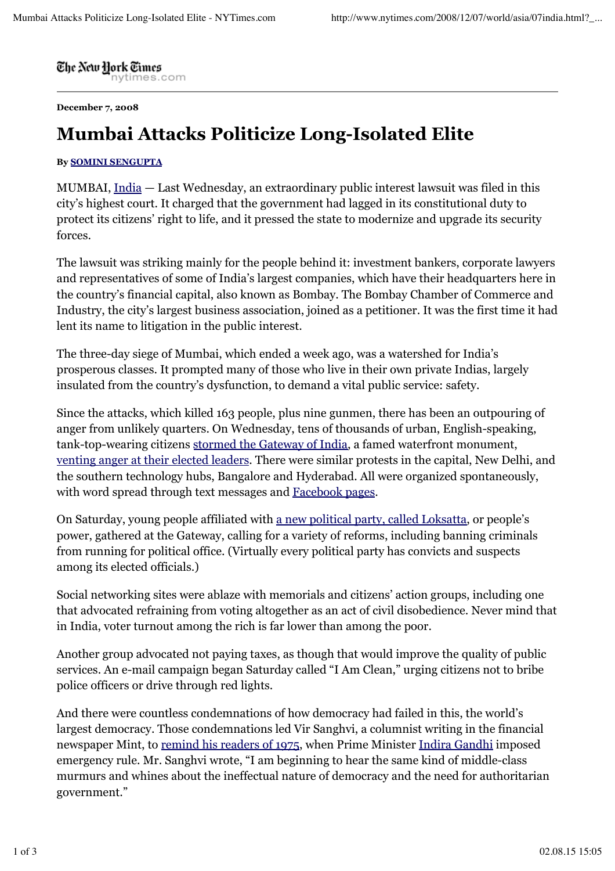The New Hork Times nytimes.com

**December 7, 2008**

## **Mumbai Attacks Politicize Long-Isolated Elite**

## **By SOMINI SENGUPTA**

MUMBAI, India — Last Wednesday, an extraordinary public interest lawsuit was filed in this city's highest court. It charged that the government had lagged in its constitutional duty to protect its citizens' right to life, and it pressed the state to modernize and upgrade its security forces.

The lawsuit was striking mainly for the people behind it: investment bankers, corporate lawyers and representatives of some of India's largest companies, which have their headquarters here in the country's financial capital, also known as Bombay. The Bombay Chamber of Commerce and Industry, the city's largest business association, joined as a petitioner. It was the first time it had lent its name to litigation in the public interest.

The three-day siege of Mumbai, which ended a week ago, was a watershed for India's prosperous classes. It prompted many of those who live in their own private Indias, largely insulated from the country's dysfunction, to demand a vital public service: safety.

Since the attacks, which killed 163 people, plus nine gunmen, there has been an outpouring of anger from unlikely quarters. On Wednesday, tens of thousands of urban, English-speaking, tank-top-wearing citizens stormed the Gateway of India, a famed waterfront monument, venting anger at their elected leaders. There were similar protests in the capital, New Delhi, and the southern technology hubs, Bangalore and Hyderabad. All were organized spontaneously, with word spread through text messages and Facebook pages.

On Saturday, young people affiliated with a new political party, called Loksatta, or people's power, gathered at the Gateway, calling for a variety of reforms, including banning criminals from running for political office. (Virtually every political party has convicts and suspects among its elected officials.)

Social networking sites were ablaze with memorials and citizens' action groups, including one that advocated refraining from voting altogether as an act of civil disobedience. Never mind that in India, voter turnout among the rich is far lower than among the poor.

Another group advocated not paying taxes, as though that would improve the quality of public services. An e-mail campaign began Saturday called "I Am Clean," urging citizens not to bribe police officers or drive through red lights.

And there were countless condemnations of how democracy had failed in this, the world's largest democracy. Those condemnations led Vir Sanghvi, a columnist writing in the financial newspaper Mint, to remind his readers of 1975, when Prime Minister Indira Gandhi imposed emergency rule. Mr. Sanghvi wrote, "I am beginning to hear the same kind of middle-class murmurs and whines about the ineffectual nature of democracy and the need for authoritarian government."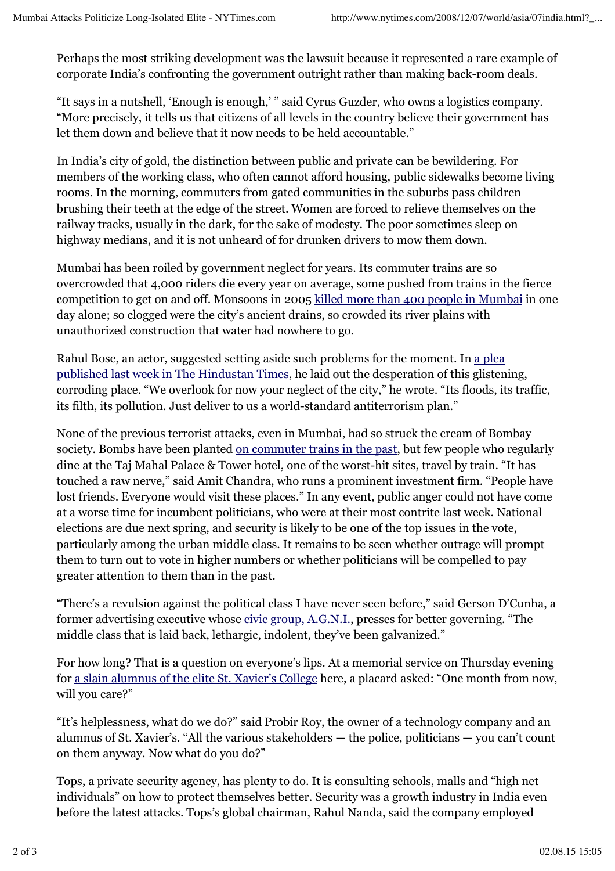Perhaps the most striking development was the lawsuit because it represented a rare example of corporate India's confronting the government outright rather than making back-room deals.

"It says in a nutshell, 'Enough is enough,' " said Cyrus Guzder, who owns a logistics company. "More precisely, it tells us that citizens of all levels in the country believe their government has let them down and believe that it now needs to be held accountable."

In India's city of gold, the distinction between public and private can be bewildering. For members of the working class, who often cannot afford housing, public sidewalks become living rooms. In the morning, commuters from gated communities in the suburbs pass children brushing their teeth at the edge of the street. Women are forced to relieve themselves on the railway tracks, usually in the dark, for the sake of modesty. The poor sometimes sleep on highway medians, and it is not unheard of for drunken drivers to mow them down.

Mumbai has been roiled by government neglect for years. Its commuter trains are so overcrowded that 4,000 riders die every year on average, some pushed from trains in the fierce competition to get on and off. Monsoons in 2005 killed more than 400 people in Mumbai in one day alone; so clogged were the city's ancient drains, so crowded its river plains with unauthorized construction that water had nowhere to go.

Rahul Bose, an actor, suggested setting aside such problems for the moment. In a plea published last week in The Hindustan Times, he laid out the desperation of this glistening, corroding place. "We overlook for now your neglect of the city," he wrote. "Its floods, its traffic, its filth, its pollution. Just deliver to us a world-standard antiterrorism plan."

None of the previous terrorist attacks, even in Mumbai, had so struck the cream of Bombay society. Bombs have been planted on commuter trains in the past, but few people who regularly dine at the Taj Mahal Palace & Tower hotel, one of the worst-hit sites, travel by train. "It has touched a raw nerve," said Amit Chandra, who runs a prominent investment firm. "People have lost friends. Everyone would visit these places." In any event, public anger could not have come at a worse time for incumbent politicians, who were at their most contrite last week. National elections are due next spring, and security is likely to be one of the top issues in the vote, particularly among the urban middle class. It remains to be seen whether outrage will prompt them to turn out to vote in higher numbers or whether politicians will be compelled to pay greater attention to them than in the past.

"There's a revulsion against the political class I have never seen before," said Gerson D'Cunha, a former advertising executive whose civic group, A.G.N.I., presses for better governing. "The middle class that is laid back, lethargic, indolent, they've been galvanized."

For how long? That is a question on everyone's lips. At a memorial service on Thursday evening for a slain alumnus of the elite St. Xavier's College here, a placard asked: "One month from now, will you care?"

"It's helplessness, what do we do?" said Probir Roy, the owner of a technology company and an alumnus of St. Xavier's. "All the various stakeholders — the police, politicians — you can't count on them anyway. Now what do you do?"

Tops, a private security agency, has plenty to do. It is consulting schools, malls and "high net individuals" on how to protect themselves better. Security was a growth industry in India even before the latest attacks. Tops's global chairman, Rahul Nanda, said the company employed